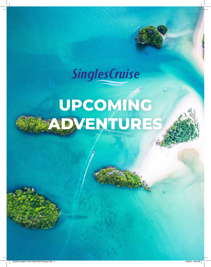# **SinglesCruise**

# **UPCOMING ADVENTURES**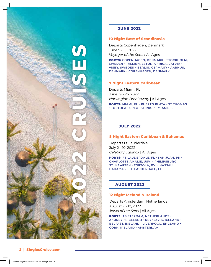

# **JUNE 2022**

### **10 Night Best of Scandinavia**

Departs Copenhagen, Denmark June 5 - 15, 2022 *Voyager of the Seas* / All Ages

PORTS: **COPENHAGEN, DENMARK • STOCKHOLM, SWEDEN • TALLINN, ESTONIA • RIGA, LATVIA • VISBY, SWEDEN • BERLIN, GERMANY • AARHUS, DENMARK • COPENHAGEN, DENMARK**

# **7 Night Eastern Caribbean**

Departs Miami, FL June 19 - 26, 2022 *Norwegian Breakaway* | All Ages

PORTS: **MIAMI, FL • PUERTO PLATA • ST THOMAS • TORTOLA • GREAT STIRRUP • MIAMI, FL**

# **JULY 2022**

#### **8 Night Eastern Caribbean & Bahamas**

Departs Ft Lauderdale, FL July 2 - 10, 2022 *Celebrity Equinox* | All Ages

PORTS: **FT LAUDERDALE, FL • SAN JUAN, PR • CHARLOTTE AMALIE, USVI • PHILIPSBURG, ST. MAARTEN • TORTOLA, BVI • NASSAU, BAHAMAS • FT. LAUDERDALE, FL**

# **AUGUST 2022**

#### **12 Night Iceland & Ireland**

Departs Amsterdam, Netherlands August 7 - 19, 2022 *Jewel of the Seas* | All Ages

PORTS: **AMSTERDAM, NETHERLANDS • AKUREYRI, ICELAND • REYKJAVIK, ICELAND • BELFAST, IRELAND • LIVERPOOL, ENGLAND • CORK, IRELAND • AMSTERDAM**

# **2 | SinglesCruise.com**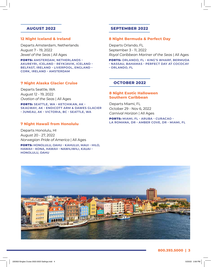# **AUGUST 2022**

#### **12 Night Iceland & Ireland**

Departs Amsterdam, Netherlands August 7 - 19, 2022 *Jewel of the Seas* | All Ages

PORTS: **AMSTERDAM, NETHERLANDS • AKUREYRI, ICELAND • REYKJAVIK, ICELAND • BELFAST, IRELAND • LIVERPOOL, ENGLAND • CORK, IRELAND • AMSTERDAM**

# **7 Night Alaska Glacier Cruise**

Departs Seattle, WA August 12 - 19, 2022 *Ovation of the Seas* | All Ages

PORTS: **SEATTLE, WA • KETCHIKAN, AK • SKAGWAY, AK • ENDICOTT ARM & DAWES GLACIER • JUNEAU, AK • VICTORIA, BC • SEATTLE, WA**

### **7 Night Hawaii from Honolulu**

Departs Honolulu, HI August 20 - 27, 2022 *Norwegian Pride of America* | All Ages

PORTS: **HONOLULU, OAHU • KAHULUI, MAUI • HILO, HAWAII • KONA, HAWAII • NAWILIWILI, KAUAI • HONOLULU, OAHU**

# **SEPTEMBER 2022**

#### **8 Night Bermuda & Perfect Day**

Departs Orlando, FL September 3 - 11, 2022 *Royal Caribbean Mariner of the Seas* | All Ages

PORTS: **ORLANDO, FL • KING'S WHARF, BERMUDA • NASSAU, BAHAMAS • PERFECT DAY AT COCOCAY • ORLANDO, FL**

#### **OCTOBER 2022**

#### **8 Night Exotic Halloween Southern Caribbean**

Departs Miami, FL October 29 - Nov 6, 2022 *Carnival Horizon* | All Ages

PORTS: **MIAMI, FL • ARUBA • CURACAO • LA ROMANA, DR • AMBER COVE, DR • MIAMI, FL**

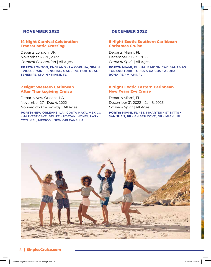# **NOVEMBER 2022**

# **14 Night Carnival Celebration Transatlantic Crossing**

Departs London, UK November 6 - 20, 2022 *Carnival Celebration* | All Ages

PORTS: **LONDON, ENGLAND • LA CORUNA, SPAIN • VIGO, SPAIN • FUNCHAL, MADEIRA, PORTUGAL • TENERIFE, SPAIN • MIAMI, FL**

# **7 Night Western Caribbean After Thanksgiving Cruise**

Departs New Orleans, LA November 27 - Dec 4, 2022 *Norwegian Breakaway* | All Ages

PORTS: **NEW ORLEANS, LA • COSTA MAYA, MEXICO • HARVEST CAYE, BELIZE • ROATAN, HONDURAS • COZUMEL, MEXICO • NEW ORLEANS, LA**

# **DECEMBER 2022**

# **8 Night Exotic Southern Caribbean Christmas Cruise**

Departs Miami, FL December 23 - 31, 2022 *Carnival Spirit* | All Ages

PORTS: **MIAMI, FL • HALF MOON CAY, BAHAMAS • GRAND TURK, TURKS & CAICOS • ARUBA • BONAIRE • MIAMI, FL**

# **8 Night Exotic Eastern Caribbean New Years Eve Cruise**

Departs Miami, FL December 31, 2022 – Jan 8, 2023 *Carnival Spirit* | All Ages

PORTS: **MIAMI, FL • ST. MAARTEN • ST KITTS • SAN JUAN, PR • AMBER COVE, DR • MIAMI, FL**



### **4 | SinglesCruise.com**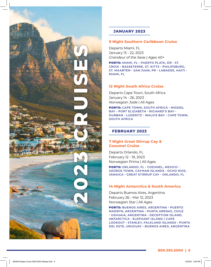

# **JANUARY 2023**

# **9 Night Southern Caribbean Cruise**

Departs Miami, FL January 13 - 22, 2023 *Grandeur of the Seas | Ages 40+*

PORTS: **MIAMI, FL • PUERTO PLATA, DR • ST. CROIX • BASSETERRE, ST. KITTS • PHILIPSBURG, ST. MAARTEN • SAN JUAN, PR • LABADEE, HAITI • MIAMI, FL**

# **12 Night South Africa Cruise**

Departs Cape Town, South Africa January 14 - 26, 2023 *Norwegian Jade* | All Ages

PORTS: **CAPE TOWN, SOUTH AFRICA • MOSSEL BAY • PORT ELIZABETH • RICHARD'S BAY • DURBAN • LUDERITZ • WALVIS BAY • CAPE TOWN, SOUTH AFRICA**

# **FEBRUARY 2023**

# **7 Night Great Stirrup Cay & Cozumel Cruise**

Departs Orlando, FL February 12 - 19, 2023 Norwegian Prima | All Ages

PORTS: **ORLANDO, FL • COZUMEL, MEXICO • GEORGE TOWN, CAYMAN ISLANDS • OCHO RIOS, JAMAICA • GREAT STIRRUP CAY • ORLANDO, FL**

# **14 Night Antarctica & South America**

Departs Buenos Aires, Argentina February 26 - Mar 12, 2023 Norwegian Star | All Ages

PORTS: **BUENOS AIRES, ARGENTINA • PUERTO MADRYN, ARGENTINA • PUNTA ARENAS, CHILE • USHUAIA, ARGENTINA • DECEPTION ISLAND, ANTARCTICA • ELEPHANT ISLAND / CAPE LOOKOUT • STANLEY, FALKLAND ISLANDS • PUNTA DEL ESTE, URUGUAY • BUENOS AIRES, ARGENTINA**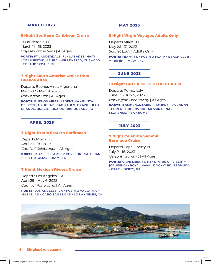### **MARCH 2023**

#### **8 Night Southern Caribbean Cruise**

Ft Lauderdale, FL March 11 - 19, 2023 *Odyssey of the Seas* | All Ages

PORTS: **FT LAUDERDALE, FL • LABADEE, HAITI • ORANJESTAD, ARUBA • WILLEMSTAD, CURACAO • FT LAUDERDALE, FL**

**7 Night South America Cruise from Buenos Aires**

Departs Buenos Aires, Argentina March 12 - Mar 19, 2023 *Norwegian Star* | All Ages

PORTS: **BUENOS AIRES, ARGENTINA • PUNTA DEL ESTE, URUGUAY • SAO PAULO, BRAZIL • ILHA GRANDE, BRAZIL • BUZIOS • RIO DE JANEIRO**

# **APRIL 2023**

#### **7 Night Exotic Eastern Caribbean**

Departs Miami, FL April 23 - 30, 2023 *Carnival Celebration* | All Ages

PORTS: **MIAMI, FL • AMBER COVE, DR • SAN JUAN, PR • ST THOMAS • MIAMI, FL**

#### **7 Night Mexican Riviera Cruise**

Departs Los Angeles, CA April 29 - May 6, 2023 *Carnival Panorama* | All Ages

PORTS: **LOS ANGELES, CA • PUERTO VALLARTA • MAZATLAN • CABO SAN LUCAS • LOS ANGELES, CA**

#### **MAY 2023**

#### **5 Night Virgin Voyages Adults Only**

Departs Miami, FL May 26 - 31, 2023 *Scarlet Lady* | Adults Only

PORTS: **MIAMI, FL • PUERTO PLATA • BEACH CLUB AT BIMINI • MIAMI, FL**

#### **JUNE 2023**

#### **10 Night GREEK ISLES & ITALY CRUISE**

Departs Rome, Italy June 25 - July 5, 2023 *Norwegian Breakaway* | All Ages

PORTS: **ROME • SANTORINI • ATHENS • MYKONOS • CORFU • DUBROVNIK • MESSINA • NAPLES • FLORENCE/PISA • ROME**

## **JULY 2023**

### **7 Night Celebrity Summit Bermuda Cruise**

Departs Cape Liberty, NJ July 9 - 16, 2023 *Celebrity Summit* | All Ages

PORTS: **CAPE LIBERTY, NJ • STATUE OF LIBERTY (CRUISING) • ROYAL NAVAL DOCKYARD, BERMUDA • CAPE LIBERTY, NJ**



#### **6 | SinglesCruise.com**